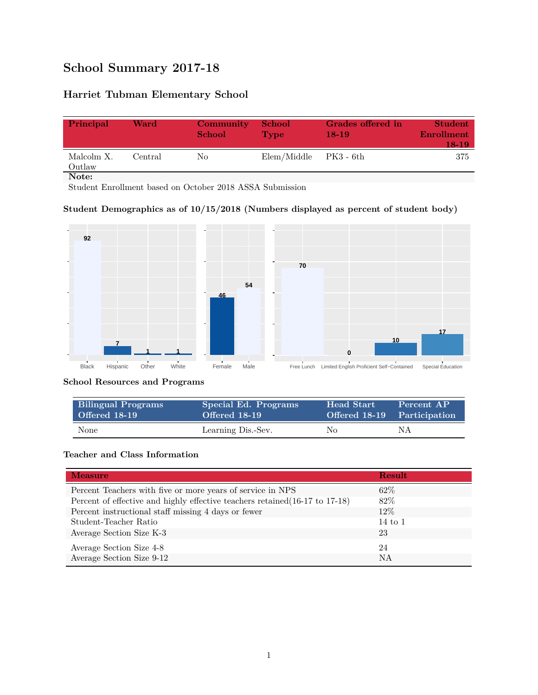# **School Summary 2017-18**

# **Harriet Tubman Elementary School**

| Principal            | Ward    | Community<br><b>School</b> | <b>School</b><br><b>Type</b> | Grades offered in<br>$18-19$ | <b>Student</b><br><b>Enrollment</b><br>18-19 |
|----------------------|---------|----------------------------|------------------------------|------------------------------|----------------------------------------------|
| Malcolm X.<br>Outlaw | Central | No.                        | Elem/Middle                  | - PK3 - 6th                  | 375                                          |
| Note:                |         |                            |                              |                              |                                              |

Student Enrollment based on October 2018 ASSA Submission

## **Student Demographics as of 10/15/2018 (Numbers displayed as percent of student body)**



#### **School Resources and Programs**

| <b>Bilingual Programs</b> | Special Ed. Programs | <b>Head Start</b> | Percent AP                  |
|---------------------------|----------------------|-------------------|-----------------------------|
| Offered 18-19             | Offered 18-19        |                   | Offered 18-19 Participation |
| None                      | Learning Dis.-Sev.   | No                | ΝA                          |

## **Teacher and Class Information**

| <b>Measure</b>                                                               | <b>Result</b>      |
|------------------------------------------------------------------------------|--------------------|
| Percent Teachers with five or more years of service in NPS                   | $62\%$             |
| Percent of effective and highly effective teachers retained (16-17 to 17-18) | 82\%               |
| Percent instructional staff missing 4 days or fewer                          | 12\%               |
| Student-Teacher Ratio                                                        | $14 \text{ to } 1$ |
| Average Section Size K-3                                                     | 23                 |
| Average Section Size 4-8                                                     | 24                 |
| Average Section Size 9-12                                                    | <b>NA</b>          |